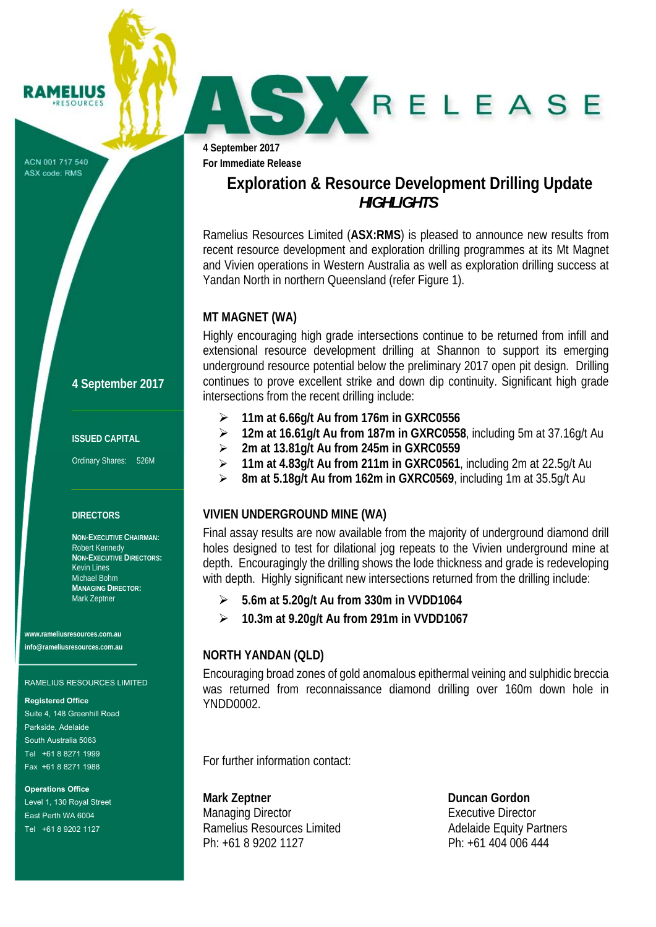ACN 001 717 540 ASX code: RMS

RAMELIUS **RESOURCES** 

## **4 September 2017**

#### **ISSUED CAPITAL**

Ordinary Shares: 526M

#### **DIRECTORS**

**NON-EXECUTIVE CHAIRMAN:**  Robert Kennedy **NON-EXECUTIVE DIRECTORS:**  Kevin Lines Michael Bohm **MANAGING DIRECTOR:**  Mark Zeptner

**www.rameliusresources.com.au info@rameliusresources.com.au** 

#### RAMELIUS RESOURCES LIMITED

#### **Registered Office**

Suite 4, 148 Greenhill Road Parkside, Adelaide South Australia 5063 Tel +61 8 8271 1999 Fax +61 8 8271 1988

**Operations Office**  Level 1, 130 Royal Street East Perth WA 6004 Tel +61 8 9202 1127

**4 September 2017** 

**For Immediate Release** 

## **Exploration & Resource Development Drilling Update**  *HIGHLIGHTS*

SY RELEASE

Ramelius Resources Limited (**ASX:RMS**) is pleased to announce new results from recent resource development and exploration drilling programmes at its Mt Magnet and Vivien operations in Western Australia as well as exploration drilling success at Yandan North in northern Queensland (refer Figure 1).

#### **MT MAGNET (WA)**

Highly encouraging high grade intersections continue to be returned from infill and extensional resource development drilling at Shannon to support its emerging underground resource potential below the preliminary 2017 open pit design. Drilling continues to prove excellent strike and down dip continuity. Significant high grade intersections from the recent drilling include:

- **11m at 6.66g/t Au from 176m in GXRC0556**
- **12m at 16.61g/t Au from 187m in GXRC0558**, including 5m at 37.16g/t Au
- **2m at 13.81g/t Au from 245m in GXRC0559**
- **11m at 4.83g/t Au from 211m in GXRC0561**, including 2m at 22.5g/t Au
- **8m at 5.18g/t Au from 162m in GXRC0569**, including 1m at 35.5g/t Au

#### **VIVIEN UNDERGROUND MINE (WA)**

Final assay results are now available from the majority of underground diamond drill holes designed to test for dilational jog repeats to the Vivien underground mine at depth. Encouragingly the drilling shows the lode thickness and grade is redeveloping with depth. Highly significant new intersections returned from the drilling include:

- **5.6m at 5.20g/t Au from 330m in VVDD1064**
- **10.3m at 9.20g/t Au from 291m in VVDD1067**

### **NORTH YANDAN (QLD)**

Encouraging broad zones of gold anomalous epithermal veining and sulphidic breccia was returned from reconnaissance diamond drilling over 160m down hole in YNDD0002.

For further information contact:

**Mark Zeptner Community Community Community Community Community Community Community Community Community Community Community Community Community Community Community Community Community Community Community Community Communit** Managing Director **Executive Director** Executive Director Ramelius Resources Limited **Adelaide Equity Partners** Ph: +61 8 9202 1127 Ph: +61 404 006 444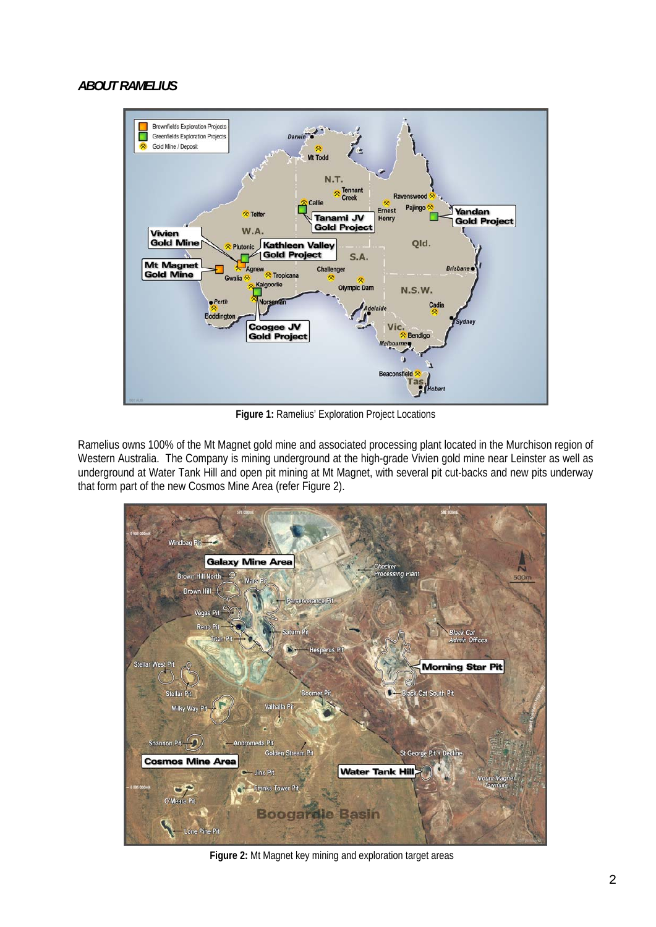### *ABOUT RAMELIUS*



**Figure 1:** Ramelius' Exploration Project Locations

Ramelius owns 100% of the Mt Magnet gold mine and associated processing plant located in the Murchison region of Western Australia. The Company is mining underground at the high-grade Vivien gold mine near Leinster as well as underground at Water Tank Hill and open pit mining at Mt Magnet, with several pit cut-backs and new pits underway that form part of the new Cosmos Mine Area (refer Figure 2).



**Figure 2:** Mt Magnet key mining and exploration target areas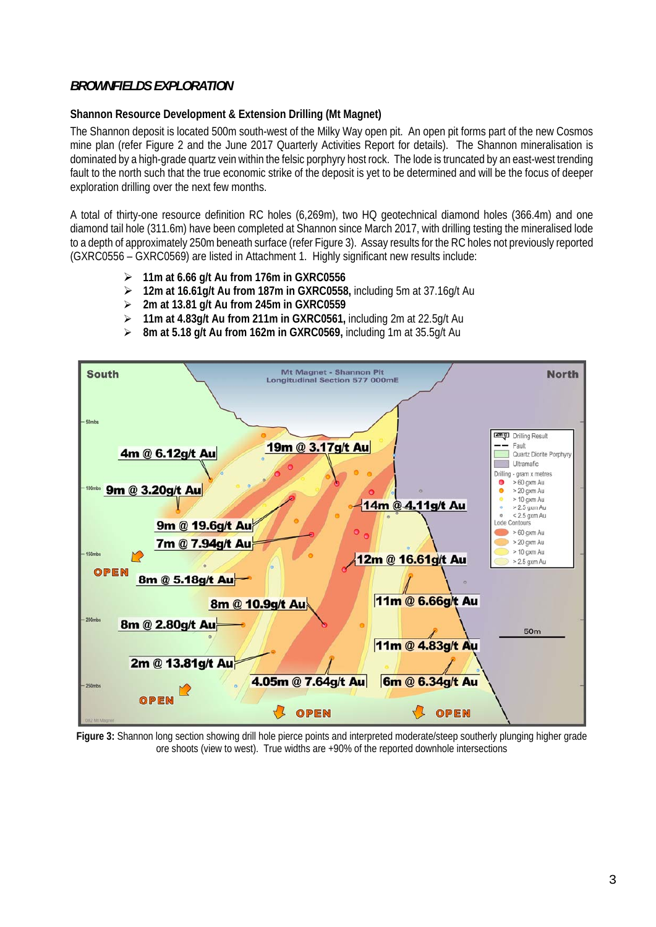### *BROWNFIELDS EXPLORATION*

## **Shannon Resource Development & Extension Drilling (Mt Magnet)**

The Shannon deposit is located 500m south-west of the Milky Way open pit. An open pit forms part of the new Cosmos mine plan (refer Figure 2 and the June 2017 Quarterly Activities Report for details). The Shannon mineralisation is dominated by a high-grade quartz vein within the felsic porphyry host rock. The lode is truncated by an east-west trending fault to the north such that the true economic strike of the deposit is yet to be determined and will be the focus of deeper exploration drilling over the next few months.

A total of thirty-one resource definition RC holes (6,269m), two HQ geotechnical diamond holes (366.4m) and one diamond tail hole (311.6m) have been completed at Shannon since March 2017, with drilling testing the mineralised lode to a depth of approximately 250m beneath surface (refer Figure 3). Assay results for the RC holes not previously reported (GXRC0556 – GXRC0569) are listed in Attachment 1. Highly significant new results include:

- **11m at 6.66 g/t Au from 176m in GXRC0556**
- **12m at 16.61g/t Au from 187m in GXRC0558,** including 5m at 37.16g/t Au
- **2m at 13.81 g/t Au from 245m in GXRC0559**
- **11m at 4.83g/t Au from 211m in GXRC0561,** including 2m at 22.5g/t Au



**8m at 5.18 g/t Au from 162m in GXRC0569,** including 1m at 35.5g/t Au

**Figure 3:** Shannon long section showing drill hole pierce points and interpreted moderate/steep southerly plunging higher grade ore shoots (view to west). True widths are +90% of the reported downhole intersections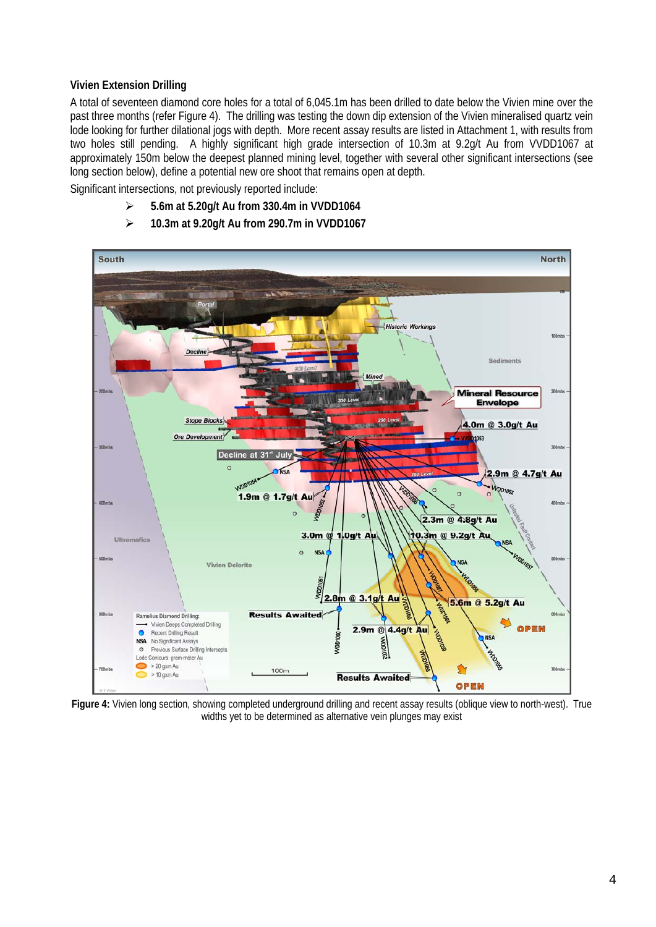### **Vivien Extension Drilling**

A total of seventeen diamond core holes for a total of 6,045.1m has been drilled to date below the Vivien mine over the past three months (refer Figure 4). The drilling was testing the down dip extension of the Vivien mineralised quartz vein lode looking for further dilational jogs with depth. More recent assay results are listed in Attachment 1, with results from two holes still pending. A highly significant high grade intersection of 10.3m at 9.2g/t Au from VVDD1067 at approximately 150m below the deepest planned mining level, together with several other significant intersections (see long section below), define a potential new ore shoot that remains open at depth.

Significant intersections, not previously reported include:

- **5.6m at 5.20g/t Au from 330.4m in VVDD1064**
- **10.3m at 9.20g/t Au from 290.7m in VVDD1067**



**Figure 4:** Vivien long section, showing completed underground drilling and recent assay results (oblique view to north-west). True widths yet to be determined as alternative vein plunges may exist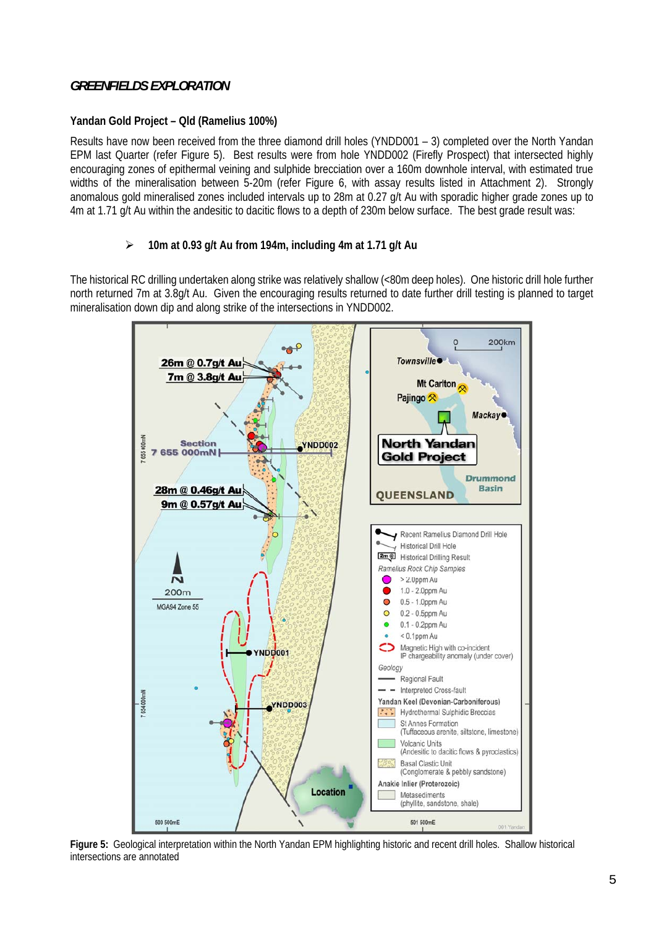### *GREENFIELDS EXPLORATION*

### **Yandan Gold Project – Qld (Ramelius 100%)**

Results have now been received from the three diamond drill holes (YNDD001 – 3) completed over the North Yandan EPM last Quarter (refer Figure 5). Best results were from hole YNDD002 (Firefly Prospect) that intersected highly encouraging zones of epithermal veining and sulphide brecciation over a 160m downhole interval, with estimated true widths of the mineralisation between 5-20m (refer Figure 6, with assay results listed in Attachment 2). Strongly anomalous gold mineralised zones included intervals up to 28m at 0.27 g/t Au with sporadic higher grade zones up to 4m at 1.71 g/t Au within the andesitic to dacitic flows to a depth of 230m below surface. The best grade result was:

### **10m at 0.93 g/t Au from 194m, including 4m at 1.71 g/t Au**

The historical RC drilling undertaken along strike was relatively shallow (<80m deep holes). One historic drill hole further north returned 7m at 3.8g/t Au. Given the encouraging results returned to date further drill testing is planned to target mineralisation down dip and along strike of the intersections in YNDD002.



**Figure 5:** Geological interpretation within the North Yandan EPM highlighting historic and recent drill holes. Shallow historical intersections are annotated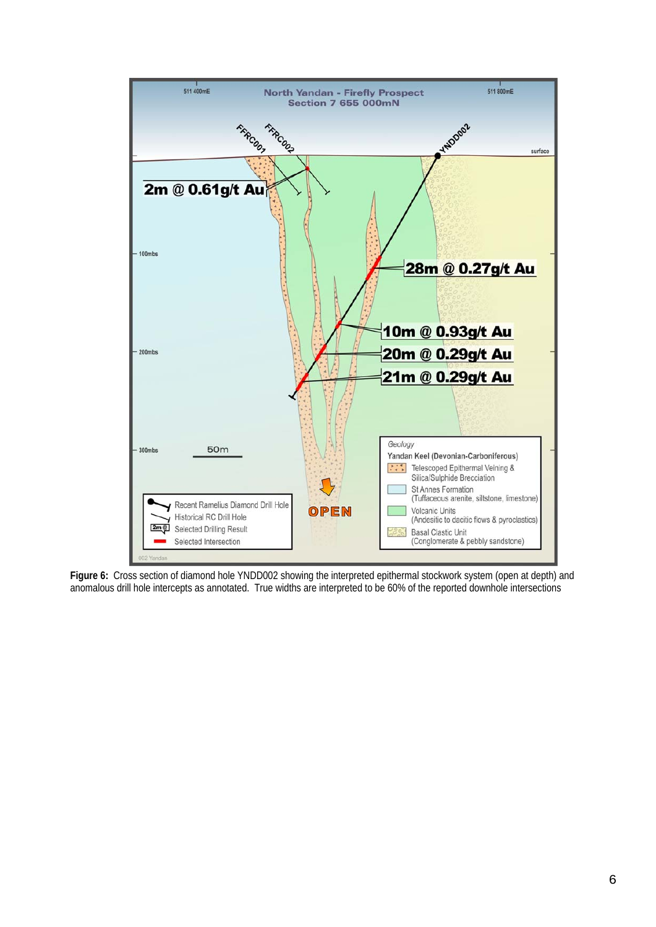

**Figure 6:** Cross section of diamond hole YNDD002 showing the interpreted epithermal stockwork system (open at depth) and anomalous drill hole intercepts as annotated. True widths are interpreted to be 60% of the reported downhole intersections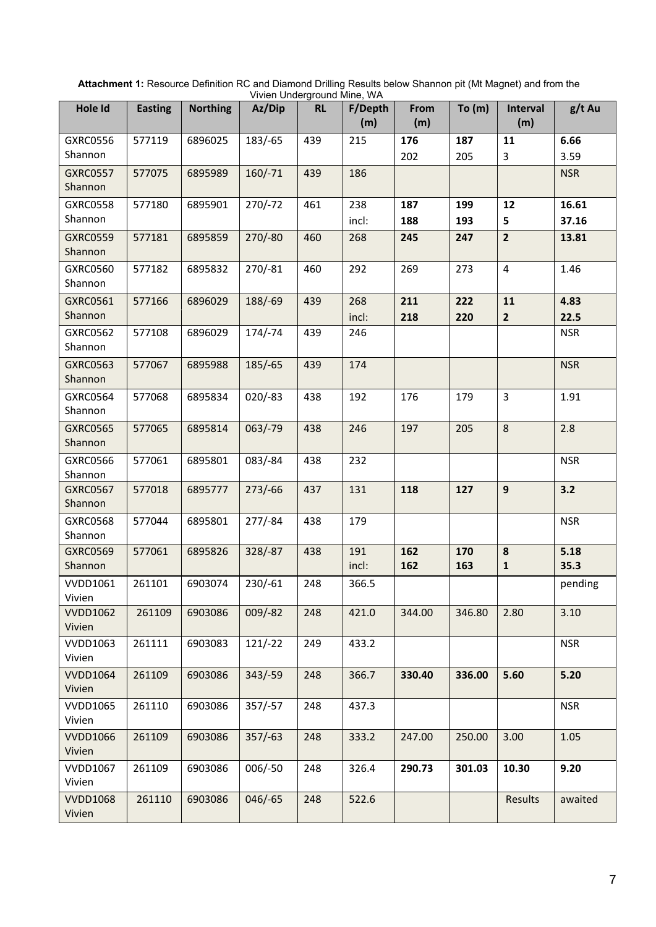| Hole Id                    | <b>Easting</b> | <b>Northing</b> | vivich Underground Minic, vv/t<br>Az/Dip | <b>RL</b> | F/Depth<br>(m) | From<br>(m) | To (m)     | <b>Interval</b><br>(m)    | g/t Au       |
|----------------------------|----------------|-----------------|------------------------------------------|-----------|----------------|-------------|------------|---------------------------|--------------|
| <b>GXRC0556</b>            | 577119         | 6896025         | 183/-65                                  | 439       | 215            | 176         | 187        | 11                        | 6.66         |
| Shannon                    |                |                 |                                          |           |                | 202         | 205        | $\mathbf{3}$              | 3.59         |
| <b>GXRC0557</b><br>Shannon | 577075         | 6895989         | $160/-71$                                | 439       | 186            |             |            |                           | <b>NSR</b>   |
| <b>GXRC0558</b>            | 577180         | 6895901         | $270/-72$                                | 461       | 238            | 187         | 199        | 12                        | 16.61        |
| Shannon                    |                |                 |                                          |           | incl:          | 188         | 193        | 5                         | 37.16        |
| <b>GXRC0559</b><br>Shannon | 577181         | 6895859         | $270/-80$                                | 460       | 268            | 245         | 247        | $\overline{2}$            | 13.81        |
| GXRC0560<br>Shannon        | 577182         | 6895832         | $270/-81$                                | 460       | 292            | 269         | 273        | $\overline{4}$            | 1.46         |
| GXRC0561                   | 577166         | 6896029         | 188/-69                                  | 439       | 268            | 211         | 222        | 11                        | 4.83         |
| Shannon                    |                |                 |                                          |           | incl:          | 218         | 220        | $\overline{2}$            | 22.5         |
| GXRC0562<br>Shannon        | 577108         | 6896029         | $174/-74$                                | 439       | 246            |             |            |                           | <b>NSR</b>   |
| <b>GXRC0563</b><br>Shannon | 577067         | 6895988         | $185/-65$                                | 439       | 174            |             |            |                           | <b>NSR</b>   |
| <b>GXRC0564</b><br>Shannon | 577068         | 6895834         | $020/-83$                                | 438       | 192            | 176         | 179        | $\mathbf{3}$              | 1.91         |
| <b>GXRC0565</b><br>Shannon | 577065         | 6895814         | $063/-79$                                | 438       | 246            | 197         | 205        | 8                         | 2.8          |
| <b>GXRC0566</b><br>Shannon | 577061         | 6895801         | $083/-84$                                | 438       | 232            |             |            |                           | <b>NSR</b>   |
| <b>GXRC0567</b><br>Shannon | 577018         | 6895777         | $273/-66$                                | 437       | 131            | 118         | 127        | 9                         | 3.2          |
| <b>GXRC0568</b><br>Shannon | 577044         | 6895801         | $277/-84$                                | 438       | 179            |             |            |                           | <b>NSR</b>   |
| <b>GXRC0569</b><br>Shannon | 577061         | 6895826         | 328/-87                                  | 438       | 191<br>incl:   | 162<br>162  | 170<br>163 | ${\bf 8}$<br>$\mathbf{1}$ | 5.18<br>35.3 |
| <b>VVDD1061</b><br>Vivien  | 261101         | 6903074         | $230/-61$                                | 248       | 366.5          |             |            |                           | pending      |
| <b>VVDD1062</b><br>Vivien  | 261109         | 6903086         | $009/-82$                                | 248       | 421.0          | 344.00      | 346.80     | 2.80                      | 3.10         |
| <b>VVDD1063</b><br>Vivien  | 261111         | 6903083         | $121/-22$                                | 249       | 433.2          |             |            |                           | <b>NSR</b>   |
| <b>VVDD1064</b><br>Vivien  | 261109         | 6903086         | $343/-59$                                | 248       | 366.7          | 330.40      | 336.00     | 5.60                      | 5.20         |
| <b>VVDD1065</b><br>Vivien  | 261110         | 6903086         | $357/-57$                                | 248       | 437.3          |             |            |                           | <b>NSR</b>   |
| <b>VVDD1066</b><br>Vivien  | 261109         | 6903086         | $357/-63$                                | 248       | 333.2          | 247.00      | 250.00     | 3.00                      | 1.05         |
| <b>VVDD1067</b><br>Vivien  | 261109         | 6903086         | $006/-50$                                | 248       | 326.4          | 290.73      | 301.03     | 10.30                     | 9.20         |
| <b>VVDD1068</b><br>Vivien  | 261110         | 6903086         | $046/-65$                                | 248       | 522.6          |             |            | Results                   | awaited      |

| Attachment 1: Resource Definition RC and Diamond Drilling Results below Shannon pit (Mt Magnet) and from the |  |
|--------------------------------------------------------------------------------------------------------------|--|
| Vivien Underground Mine, WA                                                                                  |  |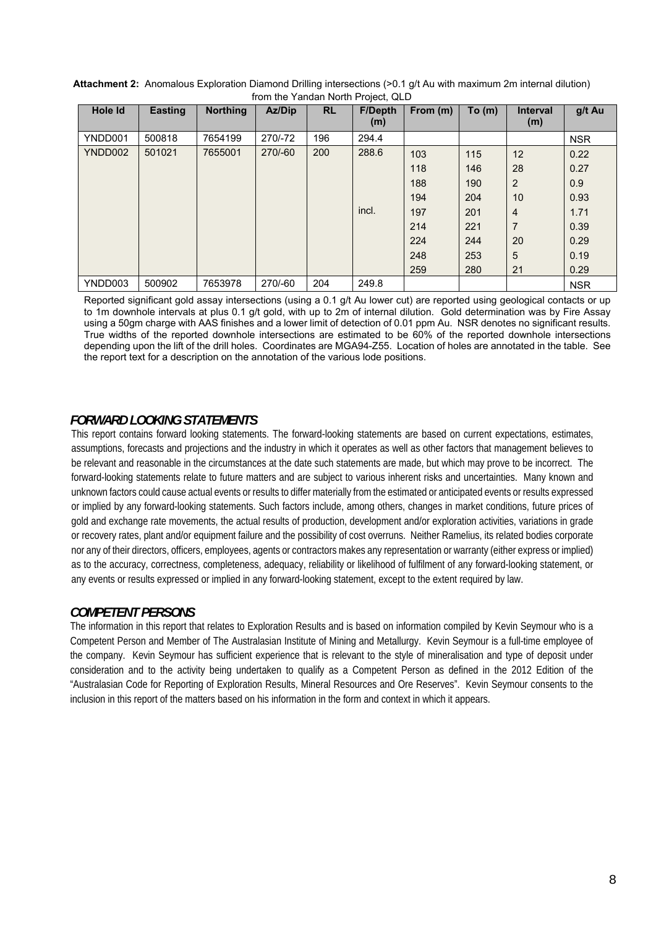| <b>HOHELLO FRINGHEROHIT FORCE, QLD</b> |                |                 |         |           |                       |          |       |                        |            |
|----------------------------------------|----------------|-----------------|---------|-----------|-----------------------|----------|-------|------------------------|------------|
| Hole Id                                | <b>Easting</b> | <b>Northing</b> | Az/Dip  | <b>RL</b> | <b>F/Depth</b><br>(m) | From (m) | To(m) | <b>Interval</b><br>(m) | g/t Au     |
| YNDD001                                | 500818         | 7654199         | 270/-72 | 196       | 294.4                 |          |       |                        | <b>NSR</b> |
| YNDD002                                | 501021         | 7655001         | 270/-60 | 200       | 288.6                 | 103      | 115   | 12                     | 0.22       |
|                                        |                |                 |         |           |                       | 118      | 146   | 28                     | 0.27       |
|                                        |                |                 |         |           |                       | 188      | 190   | $\overline{2}$         | 0.9        |
|                                        |                |                 |         |           |                       | 194      | 204   | 10                     | 0.93       |
|                                        |                |                 |         |           | incl.                 | 197      | 201   | 4                      | 1.71       |
|                                        |                |                 |         |           |                       | 214      | 221   | $\overline{7}$         | 0.39       |
|                                        |                |                 |         |           |                       | 224      | 244   | 20                     | 0.29       |
|                                        |                |                 |         |           |                       | 248      | 253   | 5                      | 0.19       |
|                                        |                |                 |         |           |                       | 259      | 280   | 21                     | 0.29       |
| YNDD003                                | 500902         | 7653978         | 270/-60 | 204       | 249.8                 |          |       |                        | <b>NSR</b> |

| Attachment 2: Anomalous Exploration Diamond Drilling intersections (>0.1 g/t Au with maximum 2m internal dilution) |                                    |  |  |  |
|--------------------------------------------------------------------------------------------------------------------|------------------------------------|--|--|--|
|                                                                                                                    | from the Yandan North Project, QLD |  |  |  |

Reported significant gold assay intersections (using a 0.1 g/t Au lower cut) are reported using geological contacts or up to 1m downhole intervals at plus 0.1 g/t gold, with up to 2m of internal dilution. Gold determination was by Fire Assay using a 50gm charge with AAS finishes and a lower limit of detection of 0.01 ppm Au. NSR denotes no significant results. True widths of the reported downhole intersections are estimated to be 60% of the reported downhole intersections depending upon the lift of the drill holes. Coordinates are MGA94-Z55. Location of holes are annotated in the table. See the report text for a description on the annotation of the various lode positions.

### *FORWARD LOOKING STATEMENTS*

This report contains forward looking statements. The forward-looking statements are based on current expectations, estimates, assumptions, forecasts and projections and the industry in which it operates as well as other factors that management believes to be relevant and reasonable in the circumstances at the date such statements are made, but which may prove to be incorrect. The forward-looking statements relate to future matters and are subject to various inherent risks and uncertainties. Many known and unknown factors could cause actual events or results to differ materially from the estimated or anticipated events or results expressed or implied by any forward-looking statements. Such factors include, among others, changes in market conditions, future prices of gold and exchange rate movements, the actual results of production, development and/or exploration activities, variations in grade or recovery rates, plant and/or equipment failure and the possibility of cost overruns. Neither Ramelius, its related bodies corporate nor any of their directors, officers, employees, agents or contractors makes any representation or warranty (either express or implied) as to the accuracy, correctness, completeness, adequacy, reliability or likelihood of fulfilment of any forward-looking statement, or any events or results expressed or implied in any forward-looking statement, except to the extent required by law.

### *COMPETENT PERSONS*

The information in this report that relates to Exploration Results and is based on information compiled by Kevin Seymour who is a Competent Person and Member of The Australasian Institute of Mining and Metallurgy. Kevin Seymour is a full-time employee of the company. Kevin Seymour has sufficient experience that is relevant to the style of mineralisation and type of deposit under consideration and to the activity being undertaken to qualify as a Competent Person as defined in the 2012 Edition of the "Australasian Code for Reporting of Exploration Results, Mineral Resources and Ore Reserves". Kevin Seymour consents to the inclusion in this report of the matters based on his information in the form and context in which it appears.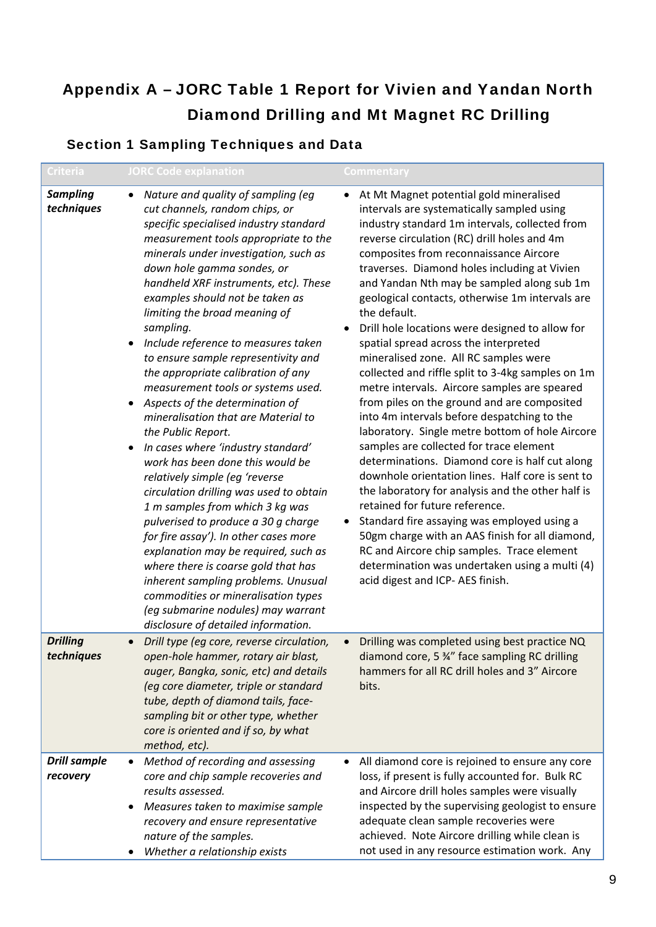# Appendix A – JORC Table 1 Report for Vivien and Yandan North Diamond Drilling and Mt Magnet RC Drilling

## Section 1 Sampling Techniques and Data

| <b>Criteria</b>                 | <b>JORC Code explanation</b>                                                                                                                                                                                                                                                                                                                                                                                                                                                                                                                                                                                                                                                                                                                                                                                                                                                                                                                                                                                                                                                                                                                       | Commentary                                                                                                                                                                                                                                                                                                                                                                                                                                                                                                                                                                                                                                                                                                                                                                                                                                                                                                                                                                                                                                                                                                                                                                                                                                                                 |
|---------------------------------|----------------------------------------------------------------------------------------------------------------------------------------------------------------------------------------------------------------------------------------------------------------------------------------------------------------------------------------------------------------------------------------------------------------------------------------------------------------------------------------------------------------------------------------------------------------------------------------------------------------------------------------------------------------------------------------------------------------------------------------------------------------------------------------------------------------------------------------------------------------------------------------------------------------------------------------------------------------------------------------------------------------------------------------------------------------------------------------------------------------------------------------------------|----------------------------------------------------------------------------------------------------------------------------------------------------------------------------------------------------------------------------------------------------------------------------------------------------------------------------------------------------------------------------------------------------------------------------------------------------------------------------------------------------------------------------------------------------------------------------------------------------------------------------------------------------------------------------------------------------------------------------------------------------------------------------------------------------------------------------------------------------------------------------------------------------------------------------------------------------------------------------------------------------------------------------------------------------------------------------------------------------------------------------------------------------------------------------------------------------------------------------------------------------------------------------|
| <b>Sampling</b><br>techniques   | Nature and quality of sampling (eg<br>$\bullet$<br>cut channels, random chips, or<br>specific specialised industry standard<br>measurement tools appropriate to the<br>minerals under investigation, such as<br>down hole gamma sondes, or<br>handheld XRF instruments, etc). These<br>examples should not be taken as<br>limiting the broad meaning of<br>sampling.<br>Include reference to measures taken<br>to ensure sample representivity and<br>the appropriate calibration of any<br>measurement tools or systems used.<br>Aspects of the determination of<br>mineralisation that are Material to<br>the Public Report.<br>In cases where 'industry standard'<br>work has been done this would be<br>relatively simple (eg 'reverse<br>circulation drilling was used to obtain<br>1 m samples from which 3 kg was<br>pulverised to produce a 30 g charge<br>for fire assay'). In other cases more<br>explanation may be required, such as<br>where there is coarse gold that has<br>inherent sampling problems. Unusual<br>commodities or mineralisation types<br>(eg submarine nodules) may warrant<br>disclosure of detailed information. | At Mt Magnet potential gold mineralised<br>intervals are systematically sampled using<br>industry standard 1m intervals, collected from<br>reverse circulation (RC) drill holes and 4m<br>composites from reconnaissance Aircore<br>traverses. Diamond holes including at Vivien<br>and Yandan Nth may be sampled along sub 1m<br>geological contacts, otherwise 1m intervals are<br>the default.<br>Drill hole locations were designed to allow for<br>spatial spread across the interpreted<br>mineralised zone. All RC samples were<br>collected and riffle split to 3-4kg samples on 1m<br>metre intervals. Aircore samples are speared<br>from piles on the ground and are composited<br>into 4m intervals before despatching to the<br>laboratory. Single metre bottom of hole Aircore<br>samples are collected for trace element<br>determinations. Diamond core is half cut along<br>downhole orientation lines. Half core is sent to<br>the laboratory for analysis and the other half is<br>retained for future reference.<br>Standard fire assaying was employed using a<br>50gm charge with an AAS finish for all diamond,<br>RC and Aircore chip samples. Trace element<br>determination was undertaken using a multi (4)<br>acid digest and ICP- AES finish. |
| <b>Drilling</b><br>techniques   | Drill type (eg core, reverse circulation,<br>open-hole hammer, rotary air blast,<br>auger, Bangka, sonic, etc) and details<br>(eg core diameter, triple or standard<br>tube, depth of diamond tails, face-<br>sampling bit or other type, whether<br>core is oriented and if so, by what<br>method, etc).                                                                                                                                                                                                                                                                                                                                                                                                                                                                                                                                                                                                                                                                                                                                                                                                                                          | Drilling was completed using best practice NQ<br>diamond core, 5 %" face sampling RC drilling<br>hammers for all RC drill holes and 3" Aircore<br>bits.                                                                                                                                                                                                                                                                                                                                                                                                                                                                                                                                                                                                                                                                                                                                                                                                                                                                                                                                                                                                                                                                                                                    |
| <b>Drill sample</b><br>recovery | Method of recording and assessing<br>$\bullet$<br>core and chip sample recoveries and<br>results assessed.<br>Measures taken to maximise sample<br>recovery and ensure representative<br>nature of the samples.<br>Whether a relationship exists                                                                                                                                                                                                                                                                                                                                                                                                                                                                                                                                                                                                                                                                                                                                                                                                                                                                                                   | All diamond core is rejoined to ensure any core<br>loss, if present is fully accounted for. Bulk RC<br>and Aircore drill holes samples were visually<br>inspected by the supervising geologist to ensure<br>adequate clean sample recoveries were<br>achieved. Note Aircore drilling while clean is<br>not used in any resource estimation work. Any                                                                                                                                                                                                                                                                                                                                                                                                                                                                                                                                                                                                                                                                                                                                                                                                                                                                                                                       |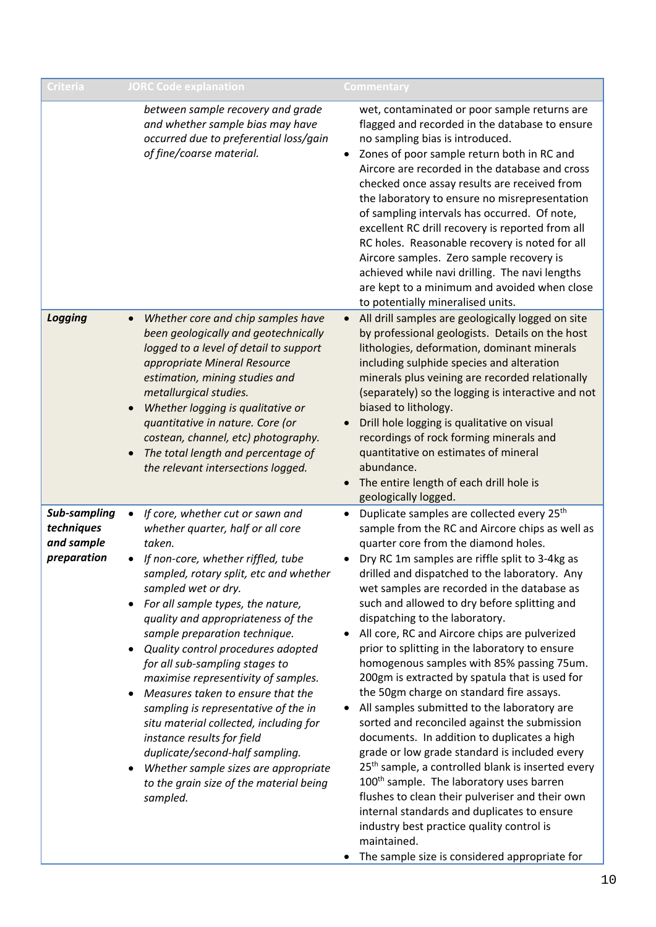| Criteria                                                | <b>JORC Code explanation</b>                                                                                                                                                                                                                                                                                                                                                                                                                                                                                                                                                                                                                                                                                          | Commentary                                                                                                                                                                                                                                                                                                                                                                                                                                                                                                                                                                                                                                                                                                                                                                                                                                                                                                                                                                                                                                                                                                                                                                                                |
|---------------------------------------------------------|-----------------------------------------------------------------------------------------------------------------------------------------------------------------------------------------------------------------------------------------------------------------------------------------------------------------------------------------------------------------------------------------------------------------------------------------------------------------------------------------------------------------------------------------------------------------------------------------------------------------------------------------------------------------------------------------------------------------------|-----------------------------------------------------------------------------------------------------------------------------------------------------------------------------------------------------------------------------------------------------------------------------------------------------------------------------------------------------------------------------------------------------------------------------------------------------------------------------------------------------------------------------------------------------------------------------------------------------------------------------------------------------------------------------------------------------------------------------------------------------------------------------------------------------------------------------------------------------------------------------------------------------------------------------------------------------------------------------------------------------------------------------------------------------------------------------------------------------------------------------------------------------------------------------------------------------------|
|                                                         | between sample recovery and grade<br>and whether sample bias may have<br>occurred due to preferential loss/gain<br>of fine/coarse material.                                                                                                                                                                                                                                                                                                                                                                                                                                                                                                                                                                           | wet, contaminated or poor sample returns are<br>flagged and recorded in the database to ensure<br>no sampling bias is introduced.<br>Zones of poor sample return both in RC and<br>$\bullet$<br>Aircore are recorded in the database and cross<br>checked once assay results are received from<br>the laboratory to ensure no misrepresentation<br>of sampling intervals has occurred. Of note,<br>excellent RC drill recovery is reported from all<br>RC holes. Reasonable recovery is noted for all<br>Aircore samples. Zero sample recovery is<br>achieved while navi drilling. The navi lengths<br>are kept to a minimum and avoided when close<br>to potentially mineralised units.                                                                                                                                                                                                                                                                                                                                                                                                                                                                                                                  |
| <b>Logging</b>                                          | Whether core and chip samples have<br>$\bullet$<br>been geologically and geotechnically<br>logged to a level of detail to support<br>appropriate Mineral Resource<br>estimation, mining studies and<br>metallurgical studies.<br>Whether logging is qualitative or<br>quantitative in nature. Core (or<br>costean, channel, etc) photography.<br>The total length and percentage of<br>the relevant intersections logged.                                                                                                                                                                                                                                                                                             | All drill samples are geologically logged on site<br>$\bullet$<br>by professional geologists. Details on the host<br>lithologies, deformation, dominant minerals<br>including sulphide species and alteration<br>minerals plus veining are recorded relationally<br>(separately) so the logging is interactive and not<br>biased to lithology.<br>Drill hole logging is qualitative on visual<br>recordings of rock forming minerals and<br>quantitative on estimates of mineral<br>abundance.<br>The entire length of each drill hole is<br>geologically logged.                                                                                                                                                                                                                                                                                                                                                                                                                                                                                                                                                                                                                                         |
| Sub-sampling<br>techniques<br>and sample<br>preparation | If core, whether cut or sawn and<br>$\bullet$<br>whether quarter, half or all core<br>taken.<br>If non-core, whether riffled, tube<br>sampled, rotary split, etc and whether<br>sampled wet or dry.<br>For all sample types, the nature,<br>quality and appropriateness of the<br>sample preparation technique.<br>Quality control procedures adopted<br>for all sub-sampling stages to<br>maximise representivity of samples.<br>Measures taken to ensure that the<br>sampling is representative of the in<br>situ material collected, including for<br>instance results for field<br>duplicate/second-half sampling.<br>Whether sample sizes are appropriate<br>to the grain size of the material being<br>sampled. | Duplicate samples are collected every 25 <sup>th</sup><br>$\bullet$<br>sample from the RC and Aircore chips as well as<br>quarter core from the diamond holes.<br>Dry RC 1m samples are riffle split to 3-4kg as<br>drilled and dispatched to the laboratory. Any<br>wet samples are recorded in the database as<br>such and allowed to dry before splitting and<br>dispatching to the laboratory.<br>All core, RC and Aircore chips are pulverized<br>٠<br>prior to splitting in the laboratory to ensure<br>homogenous samples with 85% passing 75um.<br>200gm is extracted by spatula that is used for<br>the 50gm charge on standard fire assays.<br>All samples submitted to the laboratory are<br>sorted and reconciled against the submission<br>documents. In addition to duplicates a high<br>grade or low grade standard is included every<br>25 <sup>th</sup> sample, a controlled blank is inserted every<br>100 <sup>th</sup> sample. The laboratory uses barren<br>flushes to clean their pulveriser and their own<br>internal standards and duplicates to ensure<br>industry best practice quality control is<br>maintained.<br>The sample size is considered appropriate for<br>$\bullet$ |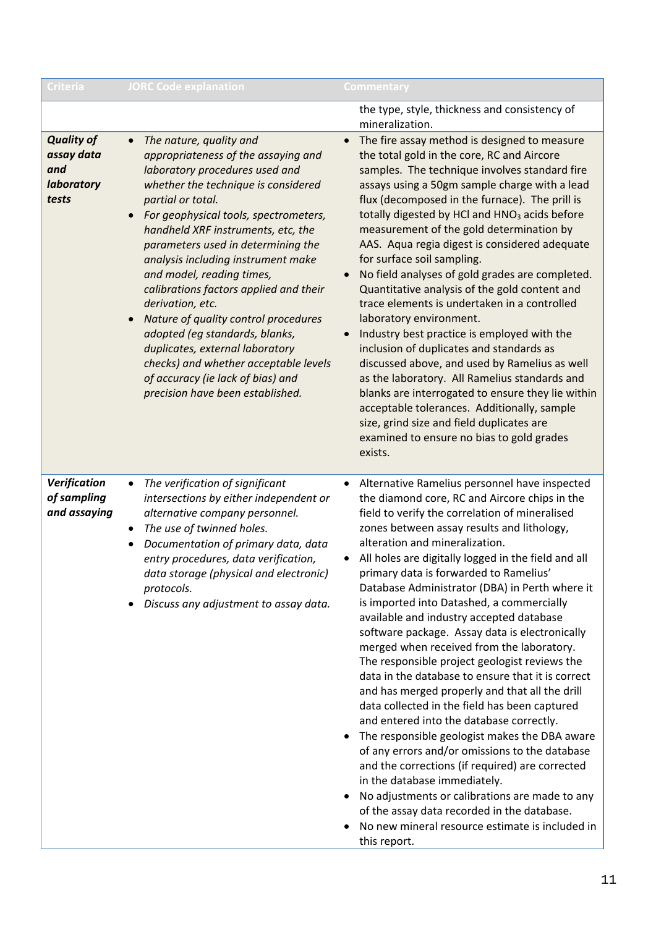| Criteria                                                      | <b>JORC Code explanation</b>                                                                                                                                                                                                                                                                                                                                                                                                                                                                                                                                                                                                                                   | Commentary                                                                                                                                                                                                                                                                                                                                                                                                                                                                                                                                                                                                                                                                                                                                                                                                                                                                                                                                                                                                                                                                                                                                                                                                           |
|---------------------------------------------------------------|----------------------------------------------------------------------------------------------------------------------------------------------------------------------------------------------------------------------------------------------------------------------------------------------------------------------------------------------------------------------------------------------------------------------------------------------------------------------------------------------------------------------------------------------------------------------------------------------------------------------------------------------------------------|----------------------------------------------------------------------------------------------------------------------------------------------------------------------------------------------------------------------------------------------------------------------------------------------------------------------------------------------------------------------------------------------------------------------------------------------------------------------------------------------------------------------------------------------------------------------------------------------------------------------------------------------------------------------------------------------------------------------------------------------------------------------------------------------------------------------------------------------------------------------------------------------------------------------------------------------------------------------------------------------------------------------------------------------------------------------------------------------------------------------------------------------------------------------------------------------------------------------|
|                                                               |                                                                                                                                                                                                                                                                                                                                                                                                                                                                                                                                                                                                                                                                | the type, style, thickness and consistency of<br>mineralization.                                                                                                                                                                                                                                                                                                                                                                                                                                                                                                                                                                                                                                                                                                                                                                                                                                                                                                                                                                                                                                                                                                                                                     |
| <b>Quality of</b><br>assay data<br>and<br>laboratory<br>tests | The nature, quality and<br>$\bullet$<br>appropriateness of the assaying and<br>laboratory procedures used and<br>whether the technique is considered<br>partial or total.<br>For geophysical tools, spectrometers,<br>handheld XRF instruments, etc, the<br>parameters used in determining the<br>analysis including instrument make<br>and model, reading times,<br>calibrations factors applied and their<br>derivation, etc.<br>Nature of quality control procedures<br>adopted (eg standards, blanks,<br>duplicates, external laboratory<br>checks) and whether acceptable levels<br>of accuracy (ie lack of bias) and<br>precision have been established. | The fire assay method is designed to measure<br>$\bullet$<br>the total gold in the core, RC and Aircore<br>samples. The technique involves standard fire<br>assays using a 50gm sample charge with a lead<br>flux (decomposed in the furnace). The prill is<br>totally digested by HCl and HNO <sub>3</sub> acids before<br>measurement of the gold determination by<br>AAS. Aqua regia digest is considered adequate<br>for surface soil sampling.<br>No field analyses of gold grades are completed.<br>$\bullet$<br>Quantitative analysis of the gold content and<br>trace elements is undertaken in a controlled<br>laboratory environment.<br>Industry best practice is employed with the<br>$\bullet$<br>inclusion of duplicates and standards as<br>discussed above, and used by Ramelius as well<br>as the laboratory. All Ramelius standards and<br>blanks are interrogated to ensure they lie within<br>acceptable tolerances. Additionally, sample<br>size, grind size and field duplicates are<br>examined to ensure no bias to gold grades<br>exists.                                                                                                                                                   |
| Verification<br>of sampling<br>and assaying                   | The verification of significant<br>٠<br>intersections by either independent or<br>alternative company personnel.<br>The use of twinned holes.<br>Documentation of primary data, data<br>entry procedures, data verification,<br>data storage (physical and electronic)<br>protocols.<br>Discuss any adjustment to assay data.                                                                                                                                                                                                                                                                                                                                  | Alternative Ramelius personnel have inspected<br>$\bullet$<br>the diamond core, RC and Aircore chips in the<br>field to verify the correlation of mineralised<br>zones between assay results and lithology,<br>alteration and mineralization.<br>All holes are digitally logged in the field and all<br>primary data is forwarded to Ramelius'<br>Database Administrator (DBA) in Perth where it<br>is imported into Datashed, a commercially<br>available and industry accepted database<br>software package. Assay data is electronically<br>merged when received from the laboratory.<br>The responsible project geologist reviews the<br>data in the database to ensure that it is correct<br>and has merged properly and that all the drill<br>data collected in the field has been captured<br>and entered into the database correctly.<br>The responsible geologist makes the DBA aware<br>of any errors and/or omissions to the database<br>and the corrections (if required) are corrected<br>in the database immediately.<br>No adjustments or calibrations are made to any<br>$\bullet$<br>of the assay data recorded in the database.<br>No new mineral resource estimate is included in<br>this report. |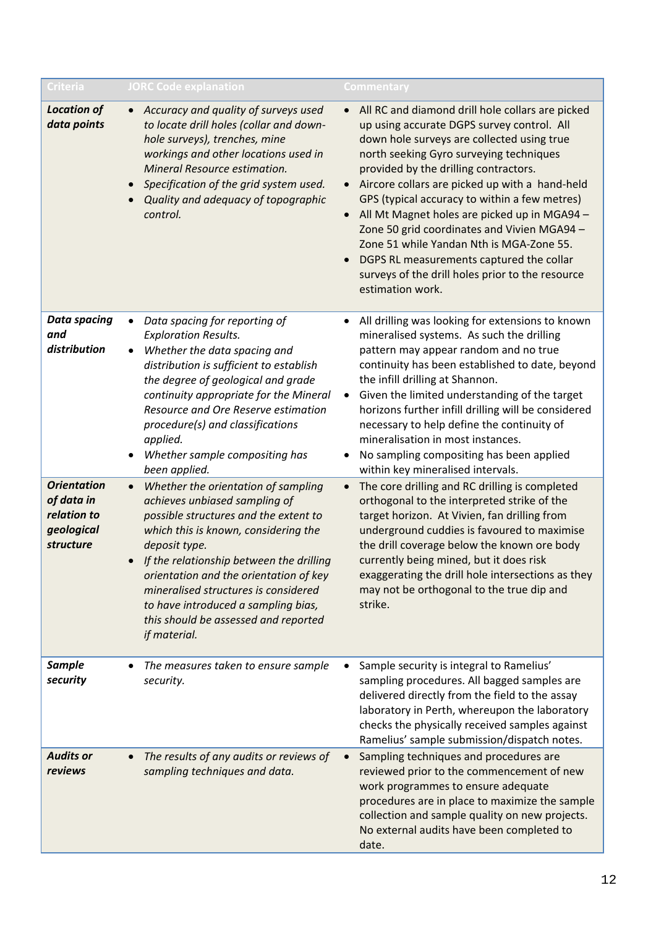| Criteria                                                                   | <b>JORC Code explanation</b>                                                                                                                                                                                                                                                                                                                                                                        | Commentary                                                                                                                                                                                                                                                                                                                                                                                                                                                                                                                                                                                                                   |
|----------------------------------------------------------------------------|-----------------------------------------------------------------------------------------------------------------------------------------------------------------------------------------------------------------------------------------------------------------------------------------------------------------------------------------------------------------------------------------------------|------------------------------------------------------------------------------------------------------------------------------------------------------------------------------------------------------------------------------------------------------------------------------------------------------------------------------------------------------------------------------------------------------------------------------------------------------------------------------------------------------------------------------------------------------------------------------------------------------------------------------|
| <b>Location of</b><br>data points                                          | • Accuracy and quality of surveys used<br>to locate drill holes (collar and down-<br>hole surveys), trenches, mine<br>workings and other locations used in<br>Mineral Resource estimation.<br>Specification of the grid system used.<br>Quality and adequacy of topographic<br>control.                                                                                                             | All RC and diamond drill hole collars are picked<br>up using accurate DGPS survey control. All<br>down hole surveys are collected using true<br>north seeking Gyro surveying techniques<br>provided by the drilling contractors.<br>Aircore collars are picked up with a hand-held<br>$\bullet$<br>GPS (typical accuracy to within a few metres)<br>All Mt Magnet holes are picked up in MGA94 -<br>$\bullet$<br>Zone 50 grid coordinates and Vivien MGA94 -<br>Zone 51 while Yandan Nth is MGA-Zone 55.<br>DGPS RL measurements captured the collar<br>surveys of the drill holes prior to the resource<br>estimation work. |
| <b>Data spacing</b><br>and<br>distribution                                 | Data spacing for reporting of<br><b>Exploration Results.</b><br>Whether the data spacing and<br>$\bullet$<br>distribution is sufficient to establish<br>the degree of geological and grade<br>continuity appropriate for the Mineral<br>Resource and Ore Reserve estimation<br>procedure(s) and classifications<br>applied.<br>Whether sample compositing has<br>been applied.                      | All drilling was looking for extensions to known<br>٠<br>mineralised systems. As such the drilling<br>pattern may appear random and no true<br>continuity has been established to date, beyond<br>the infill drilling at Shannon.<br>Given the limited understanding of the target<br>$\bullet$<br>horizons further infill drilling will be considered<br>necessary to help define the continuity of<br>mineralisation in most instances.<br>No sampling compositing has been applied<br>within key mineralised intervals.                                                                                                   |
| <b>Orientation</b><br>of data in<br>relation to<br>geological<br>structure | Whether the orientation of sampling<br>achieves unbiased sampling of<br>possible structures and the extent to<br>which this is known, considering the<br>deposit type.<br>If the relationship between the drilling<br>orientation and the orientation of key<br>mineralised structures is considered<br>to have introduced a sampling bias,<br>this should be assessed and reported<br>if material. | The core drilling and RC drilling is completed<br>$\bullet$<br>orthogonal to the interpreted strike of the<br>target horizon. At Vivien, fan drilling from<br>underground cuddies is favoured to maximise<br>the drill coverage below the known ore body<br>currently being mined, but it does risk<br>exaggerating the drill hole intersections as they<br>may not be orthogonal to the true dip and<br>strike.                                                                                                                                                                                                             |
| <b>Sample</b><br>security                                                  | The measures taken to ensure sample<br>security.                                                                                                                                                                                                                                                                                                                                                    | Sample security is integral to Ramelius'<br>$\bullet$<br>sampling procedures. All bagged samples are<br>delivered directly from the field to the assay<br>laboratory in Perth, whereupon the laboratory<br>checks the physically received samples against<br>Ramelius' sample submission/dispatch notes.                                                                                                                                                                                                                                                                                                                     |
| <b>Audits or</b><br>reviews                                                | The results of any audits or reviews of<br>sampling techniques and data.                                                                                                                                                                                                                                                                                                                            | Sampling techniques and procedures are<br>$\bullet$<br>reviewed prior to the commencement of new<br>work programmes to ensure adequate<br>procedures are in place to maximize the sample<br>collection and sample quality on new projects.<br>No external audits have been completed to<br>date.                                                                                                                                                                                                                                                                                                                             |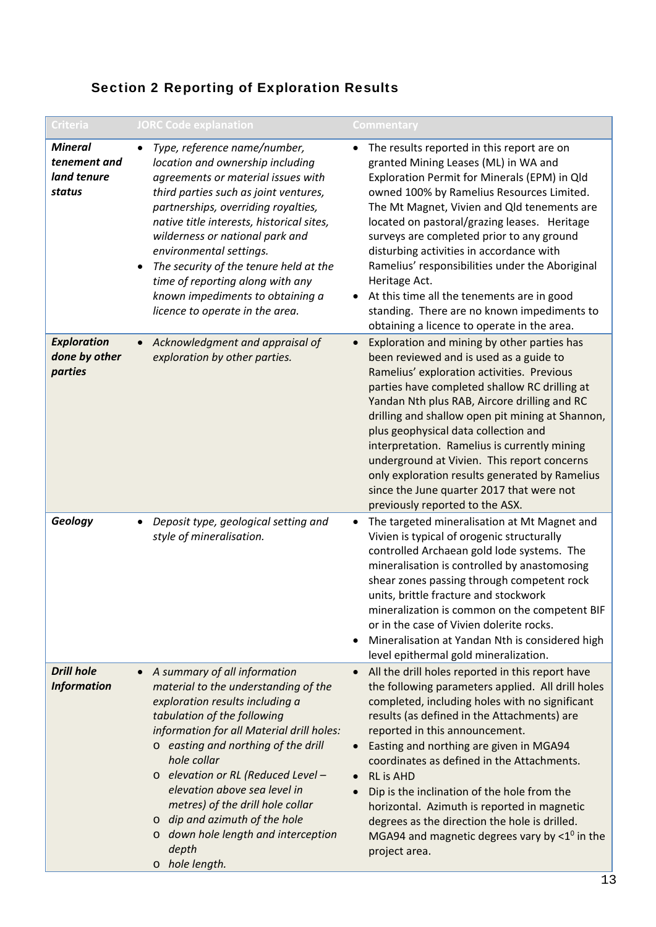# Section 2 Reporting of Exploration Results

| Criteria                                                | <b>JORC Code explanation</b>                                                                                                                                                                                                                                                                                                                                                                                                                                                                | Commentary                                                                                                                                                                                                                                                                                                                                                                                                                                                                                                                                                                                           |
|---------------------------------------------------------|---------------------------------------------------------------------------------------------------------------------------------------------------------------------------------------------------------------------------------------------------------------------------------------------------------------------------------------------------------------------------------------------------------------------------------------------------------------------------------------------|------------------------------------------------------------------------------------------------------------------------------------------------------------------------------------------------------------------------------------------------------------------------------------------------------------------------------------------------------------------------------------------------------------------------------------------------------------------------------------------------------------------------------------------------------------------------------------------------------|
| <b>Mineral</b><br>tenement and<br>land tenure<br>status | Type, reference name/number,<br>$\bullet$<br>location and ownership including<br>agreements or material issues with<br>third parties such as joint ventures,<br>partnerships, overriding royalties,<br>native title interests, historical sites,<br>wilderness or national park and<br>environmental settings.<br>The security of the tenure held at the<br>$\bullet$<br>time of reporting along with any<br>known impediments to obtaining a<br>licence to operate in the area.            | The results reported in this report are on<br>$\bullet$<br>granted Mining Leases (ML) in WA and<br>Exploration Permit for Minerals (EPM) in Qld<br>owned 100% by Ramelius Resources Limited.<br>The Mt Magnet, Vivien and Qld tenements are<br>located on pastoral/grazing leases. Heritage<br>surveys are completed prior to any ground<br>disturbing activities in accordance with<br>Ramelius' responsibilities under the Aboriginal<br>Heritage Act.<br>At this time all the tenements are in good<br>standing. There are no known impediments to<br>obtaining a licence to operate in the area. |
| <b>Exploration</b><br>done by other<br>parties          | Acknowledgment and appraisal of<br>$\bullet$<br>exploration by other parties.                                                                                                                                                                                                                                                                                                                                                                                                               | Exploration and mining by other parties has<br>$\bullet$<br>been reviewed and is used as a guide to<br>Ramelius' exploration activities. Previous<br>parties have completed shallow RC drilling at<br>Yandan Nth plus RAB, Aircore drilling and RC<br>drilling and shallow open pit mining at Shannon,<br>plus geophysical data collection and<br>interpretation. Ramelius is currently mining<br>underground at Vivien. This report concerns<br>only exploration results generated by Ramelius<br>since the June quarter 2017 that were not<br>previously reported to the ASX.                      |
| Geology                                                 | Deposit type, geological setting and<br>$\bullet$<br>style of mineralisation.                                                                                                                                                                                                                                                                                                                                                                                                               | The targeted mineralisation at Mt Magnet and<br>$\bullet$<br>Vivien is typical of orogenic structurally<br>controlled Archaean gold lode systems. The<br>mineralisation is controlled by anastomosing<br>shear zones passing through competent rock<br>units, brittle fracture and stockwork<br>mineralization is common on the competent BIF<br>or in the case of Vivien dolerite rocks.<br>Mineralisation at Yandan Nth is considered high<br>level epithermal gold mineralization.                                                                                                                |
| <b>Drill hole</b><br><b>Information</b>                 | A summary of all information<br>$\bullet$<br>material to the understanding of the<br>exploration results including a<br>tabulation of the following<br>information for all Material drill holes:<br>o easting and northing of the drill<br>hole collar<br>elevation or RL (Reduced Level -<br>$\circ$<br>elevation above sea level in<br>metres) of the drill hole collar<br>$\circ$ dip and azimuth of the hole<br>down hole length and interception<br>$\circ$<br>depth<br>o hole length. | All the drill holes reported in this report have<br>the following parameters applied. All drill holes<br>completed, including holes with no significant<br>results (as defined in the Attachments) are<br>reported in this announcement.<br>Easting and northing are given in MGA94<br>$\bullet$<br>coordinates as defined in the Attachments.<br><b>RL</b> is AHD<br>Dip is the inclination of the hole from the<br>horizontal. Azimuth is reported in magnetic<br>degrees as the direction the hole is drilled.<br>MGA94 and magnetic degrees vary by $< 1^\circ$ in the<br>project area.          |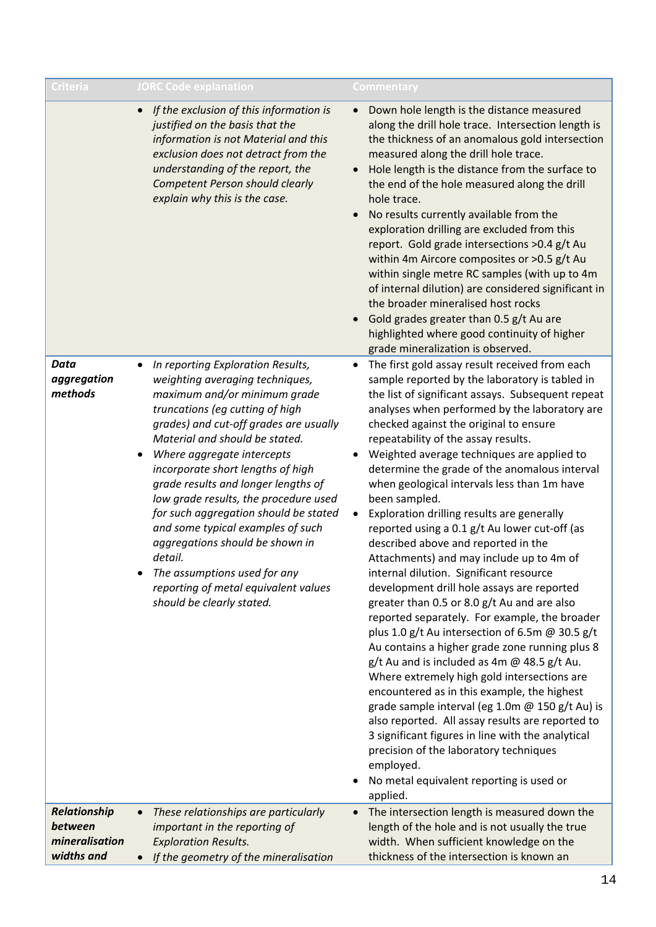| <b>Criteria</b>                                         | <b>JORC Code explanation</b>                                                                                                                                                                                                                                                                                                                                                                                                                                                                                                                                                                                         | Commentary                                                                                                                                                                                                                                                                                                                                                                                                                                                                                                                                                                                                                                                                                                                                                                                                                                                                                                                                                                                                                                                                                                                                                                                                                                                                                                                                                                                     |
|---------------------------------------------------------|----------------------------------------------------------------------------------------------------------------------------------------------------------------------------------------------------------------------------------------------------------------------------------------------------------------------------------------------------------------------------------------------------------------------------------------------------------------------------------------------------------------------------------------------------------------------------------------------------------------------|------------------------------------------------------------------------------------------------------------------------------------------------------------------------------------------------------------------------------------------------------------------------------------------------------------------------------------------------------------------------------------------------------------------------------------------------------------------------------------------------------------------------------------------------------------------------------------------------------------------------------------------------------------------------------------------------------------------------------------------------------------------------------------------------------------------------------------------------------------------------------------------------------------------------------------------------------------------------------------------------------------------------------------------------------------------------------------------------------------------------------------------------------------------------------------------------------------------------------------------------------------------------------------------------------------------------------------------------------------------------------------------------|
|                                                         | If the exclusion of this information is<br>$\bullet$<br>justified on the basis that the<br>information is not Material and this<br>exclusion does not detract from the<br>understanding of the report, the<br>Competent Person should clearly<br>explain why this is the case.                                                                                                                                                                                                                                                                                                                                       | Down hole length is the distance measured<br>$\bullet$<br>along the drill hole trace. Intersection length is<br>the thickness of an anomalous gold intersection<br>measured along the drill hole trace.<br>Hole length is the distance from the surface to<br>the end of the hole measured along the drill<br>hole trace.<br>No results currently available from the<br>exploration drilling are excluded from this<br>report. Gold grade intersections >0.4 g/t Au<br>within 4m Aircore composites or >0.5 g/t Au<br>within single metre RC samples (with up to 4m<br>of internal dilution) are considered significant in<br>the broader mineralised host rocks<br>Gold grades greater than 0.5 g/t Au are<br>highlighted where good continuity of higher<br>grade mineralization is observed.                                                                                                                                                                                                                                                                                                                                                                                                                                                                                                                                                                                                |
| Data<br>aggregation<br>methods                          | In reporting Exploration Results,<br>$\bullet$<br>weighting averaging techniques,<br>maximum and/or minimum grade<br>truncations (eg cutting of high<br>grades) and cut-off grades are usually<br>Material and should be stated.<br>Where aggregate intercepts<br>incorporate short lengths of high<br>grade results and longer lengths of<br>low grade results, the procedure used<br>for such aggregation should be stated<br>and some typical examples of such<br>aggregations should be shown in<br>detail.<br>The assumptions used for any<br>reporting of metal equivalent values<br>should be clearly stated. | The first gold assay result received from each<br>$\bullet$<br>sample reported by the laboratory is tabled in<br>the list of significant assays. Subsequent repeat<br>analyses when performed by the laboratory are<br>checked against the original to ensure<br>repeatability of the assay results.<br>Weighted average techniques are applied to<br>determine the grade of the anomalous interval<br>when geological intervals less than 1m have<br>been sampled.<br>Exploration drilling results are generally<br>$\bullet$<br>reported using a 0.1 g/t Au lower cut-off (as<br>described above and reported in the<br>Attachments) and may include up to 4m of<br>internal dilution. Significant resource<br>development drill hole assays are reported<br>greater than 0.5 or 8.0 g/t Au and are also<br>reported separately. For example, the broader<br>plus 1.0 g/t Au intersection of 6.5m $@$ 30.5 g/t<br>Au contains a higher grade zone running plus 8<br>$g/t$ Au and is included as 4m @ 48.5 $g/t$ Au.<br>Where extremely high gold intersections are<br>encountered as in this example, the highest<br>grade sample interval (eg 1.0m @ 150 g/t Au) is<br>also reported. All assay results are reported to<br>3 significant figures in line with the analytical<br>precision of the laboratory techniques<br>employed.<br>No metal equivalent reporting is used or<br>applied. |
| Relationship<br>between<br>mineralisation<br>widths and | These relationships are particularly<br>$\bullet$<br>important in the reporting of<br><b>Exploration Results.</b><br>If the geometry of the mineralisation<br>$\bullet$                                                                                                                                                                                                                                                                                                                                                                                                                                              | The intersection length is measured down the<br>$\bullet$<br>length of the hole and is not usually the true<br>width. When sufficient knowledge on the<br>thickness of the intersection is known an                                                                                                                                                                                                                                                                                                                                                                                                                                                                                                                                                                                                                                                                                                                                                                                                                                                                                                                                                                                                                                                                                                                                                                                            |